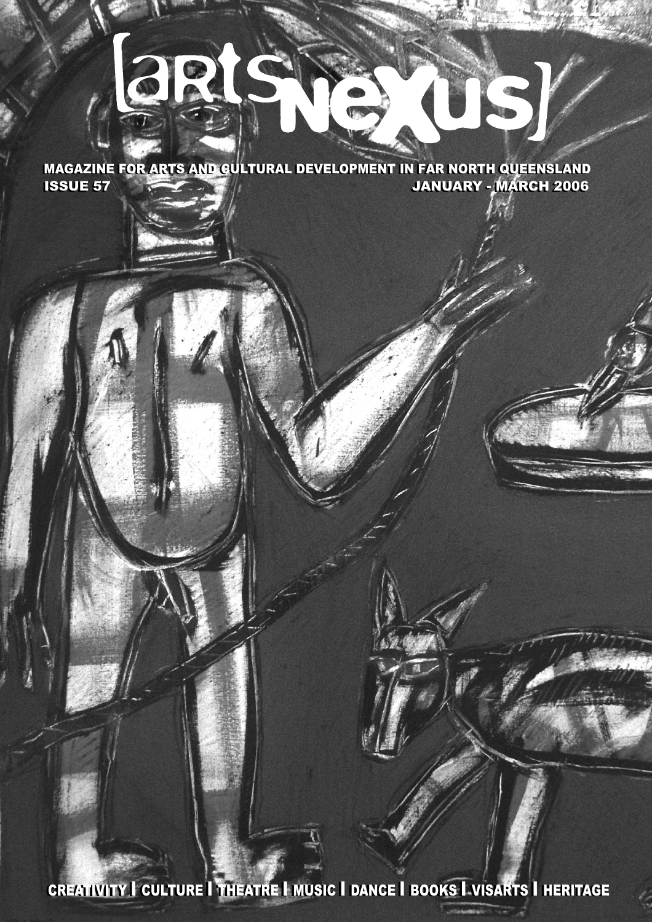# **3RIS**

ISSUE 57 JANUARY - MARCH 2006 ISSUE 57 JANUARY - MARCH 2006 MAGAZINE FOR ARTS AND CULTURAL DEVELOPMENT IN FAR NORTH QUEENSLAND

S I VISARTS I HERITA CREATIVITY I CULTURE I THEATRE I MUSIC I DANCE I BOOKS I VISARTS I HERITAGE

www.wartsnexuscomauranten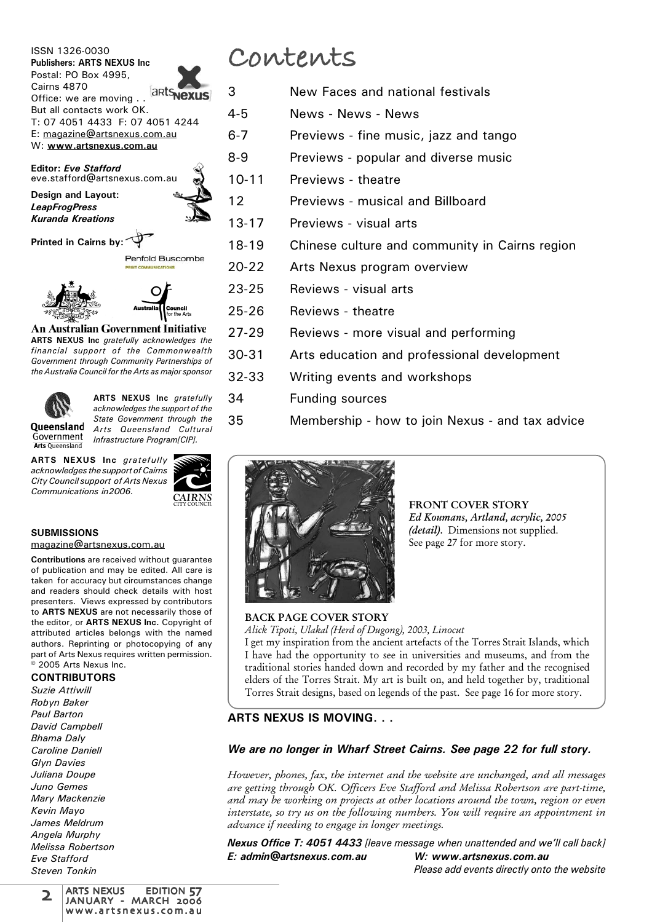ISSN 1326-0030 **Publishers: ARTS NEXUS Inc** Postal: PO Box 4995, Cairns 4870 Cairiis  $4070$ <br>Office: we are moving ...  $\sqrt{arcs}$  **Nexus** But all contacts work OK. T: 07 4051 4433 F: 07 4051 4244 E: magazine@artsnexus.com.au W: **www.artsnexus.com.au**

**Editor:** *Eve Stafford* eve.stafford@artsnexus.com.au

**Design and Layout:** *LeapFrogPress Kuranda Kreations*

**Printed in Cairns by:**

Penfold Buscombe

 $\subset$ 



**An Australian Government Initiative** 

**ARTS NEXUS Inc** *gratefully acknowledges the financial support of the Commonwealth Government through Community Partnerships of the Australia Council for the Arts as major sponsor*



**Arts Oueensland** 

**ARTS NEXUS Inc** *gratefully acknowledges the support of the State Government through the Arts Queensland Cultural Infrastructure Program[CIP].*

**ARTS NEXUS Inc** *gratefully acknowledges the support of Cairns City Council support of Arts Nexus Communications in2006.*



#### **SUBMISSIONS** magazine@artsnexus.com.au

**Contributions** are received without guarantee of publication and may be edited. All care is taken for accuracy but circumstances change and readers should check details with host presenters. Views expressed by contributors to **ARTS NEXUS** are not necessarily those of the editor, or **ARTS NEXUS Inc.** Copyright of attributed articles belongs with the named authors. Reprinting or photocopying of any part of Arts Nexus requires written permission.  $\stackrel{\circ}{\circ}$  2005 Arts Nexus Inc.

**CONTRIBUTORS**

*Suzie Attiwill Robyn Baker Paul Barton David Campbell Bhama Daly Caroline Daniell Glyn Davies Juliana Doupe Juno Gemes Mary Mackenzie Kevin Mayo James Meldrum Angela Murphy Melissa Robertson Eve Stafford Steven Tonkin*

## **Contents**

- 3 New Faces and national festivals
- 4-5 News News News
- 6-7 Previews fine music, jazz and tango
- 8-9 Previews popular and diverse music
- 10-11 Previews theatre
- 12 Previews musical and Billboard
- 13-17 Previews visual arts
- 18-19 Chinese culture and community in Cairns region
- 20-22 Arts Nexus program overview
- 23-25 Reviews visual arts
- 25-26 Reviews theatre
- 27-29 Reviews more visual and performing
- 30-31 Arts education and professional development
- 32-33 Writing events and workshops
- 34 Funding sources
- 35 Membership how to join Nexus and tax advice



FRONT COVER STORY Ed Koumans, Artland, acrylic, 2005 (detail). Dimensions not supplied. See page 27 for more story.

### BACK PAGE COVER STORY

Alick Tipoti, Ulakal (Herd of Dugong), 2003, Linocut I get my inspiration from the ancient artefacts of the Torres Strait Islands, which I have had the opportunity to see in universities and museums, and from the traditional stories handed down and recorded by my father and the recognised elders of the Torres Strait. My art is built on, and held together by, traditional Torres Strait designs, based on legends of the past. See page 16 for more story.

### **ARTS NEXUS IS MOVING. . .**

### *We are no longer in Wharf Street Cairns. See page 22 for full story.*

However, phones, fax, the internet and the website are unchanged, and all messages are getting through OK. Officers Eve Stafford and Melissa Robertson are part-time, and may be working on projects at other locations around the town, region or even interstate, so try us on the following numbers. You will require an appointment in advance if needing to engage in longer meetings.

*Nexus Office T: 4051 4433 [leave message when unattended and we'll call back] E: admin@artsnexus.com.au W: www.artsnexus.com.au*

*Please add events directly onto the website*

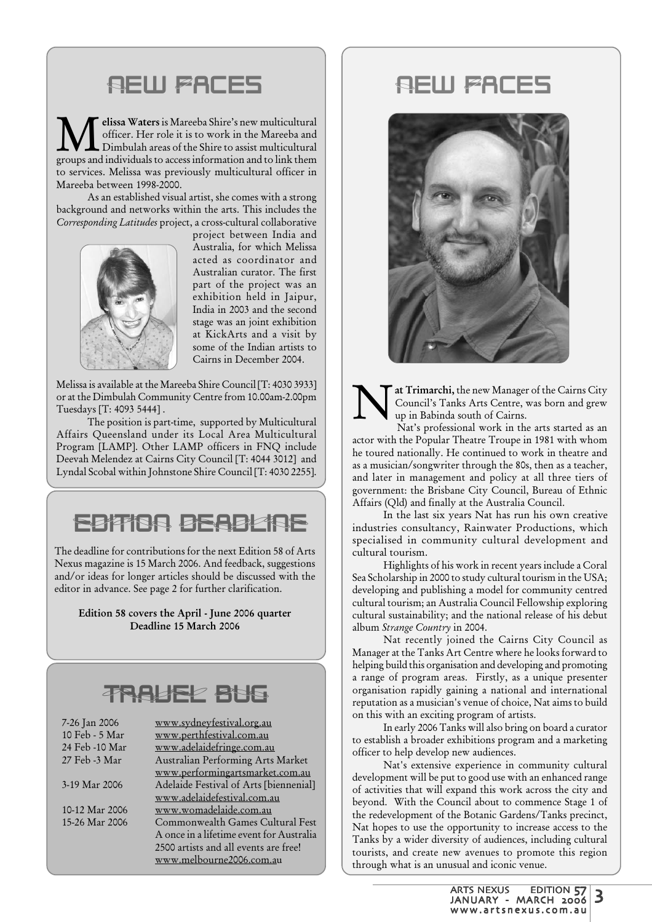## **NEW FACES**

**M**elissa Waters is Mareeba Shire's new multicultural<br>officer. Her role it is to work in the Mareeba and<br>proups and individuals to access information and to link them officer. Her role it is to work in the Mareeba and Dimbulah areas of the Shire to assist multicultural groups and individuals to access information and to link them to services. Melissa was previously multicultural officer in Mareeba between 1998-2000.

As an established visual artist, she comes with a strong background and networks within the arts. This includes the Corresponding Latitudes project, a cross-cultural collaborative



project between India and Australia, for which Melissa acted as coordinator and Australian curator. The first part of the project was an exhibition held in Jaipur, India in 2003 and the second stage was an joint exhibition at KickArts and a visit by some of the Indian artists to Cairns in December 2004.

Melissa is available at the Mareeba Shire Council [T: 4030 3933] or at the Dimbulah Community Centre from 10.00am-2.00pm Tuesdays [T: 4093 5444] .

The position is part-time, supported by Multicultural Affairs Queensland under its Local Area Multicultural Program [LAMP]. Other LAMP officers in FNQ include Deevah Melendez at Cairns City Council [T: 4044 3012] and Lyndal Scobal within Johnstone Shire Council [T: 4030 2255].

## EDITION DEADL'AS

The deadline for contributions for the next Edition 58 of Arts Nexus magazine is 15 March 2006. And feedback, suggestions and/or ideas for longer articles should be discussed with the editor in advance. See page 2 for further clarification.

Edition 58 covers the April - June 2006 quarter Deadline 15 March 2006

## TRAVEL BUG

| 7-26 Jan 2006  | www.sydneyfestival.org.au                |
|----------------|------------------------------------------|
| 10 Feb - 5 Mar | www.perthfestival.com.au                 |
| 24 Feb -10 Mar | www.adelaidefringe.com.au                |
| 27 Feb -3 Mar  | Australian Performing Arts Market        |
|                | www.performingartsmarket.com.au          |
| 3-19 Mar 2006  | Adelaide Festival of Arts [biennenial]   |
|                | www.adelaidefestival.com.au              |
| 10-12 Mar 2006 | www.womadelaide.com.au                   |
| 15-26 Mar 2006 | Commonwealth Games Cultural Fest         |
|                | A once in a lifetime event for Australia |
|                | 2500 artists and all events are free!    |
|                | www.melbourne2006.com.au                 |

## **REW FACES**



at Trimarchi, the new Manager of the Cairns City Council's Tanks Arts Centre, was born and grew up in Babinda south of Cairns.

 Nat's professional work in the arts started as an actor with the Popular Theatre Troupe in 1981 with whom he toured nationally. He continued to work in theatre and as a musician/songwriter through the 80s, then as a teacher, and later in management and policy at all three tiers of government: the Brisbane City Council, Bureau of Ethnic Affairs (Qld) and finally at the Australia Council.

In the last six years Nat has run his own creative industries consultancy, Rainwater Productions, which specialised in community cultural development and cultural tourism.

Highlights of his work in recent years include a Coral Sea Scholarship in 2000 to study cultural tourism in the USA; developing and publishing a model for community centred cultural tourism; an Australia Council Fellowship exploring cultural sustainability; and the national release of his debut album Strange Country in 2004.

Nat recently joined the Cairns City Council as Manager at the Tanks Art Centre where he looks forward to helping build this organisation and developing and promoting a range of program areas. Firstly, as a unique presenter organisation rapidly gaining a national and international reputation as a musician's venue of choice, Nat aims to build on this with an exciting program of artists.

In early 2006 Tanks will also bring on board a curator to establish a broader exhibitions program and a marketing officer to help develop new audiences.

Nat's extensive experience in community cultural development will be put to good use with an enhanced range of activities that will expand this work across the city and beyond. With the Council about to commence Stage 1 of the redevelopment of the Botanic Gardens/Tanks precinct, Nat hopes to use the opportunity to increase access to the Tanks by a wider diversity of audiences, including cultural tourists, and create new avenues to promote this region through what is an unusual and iconic venue.